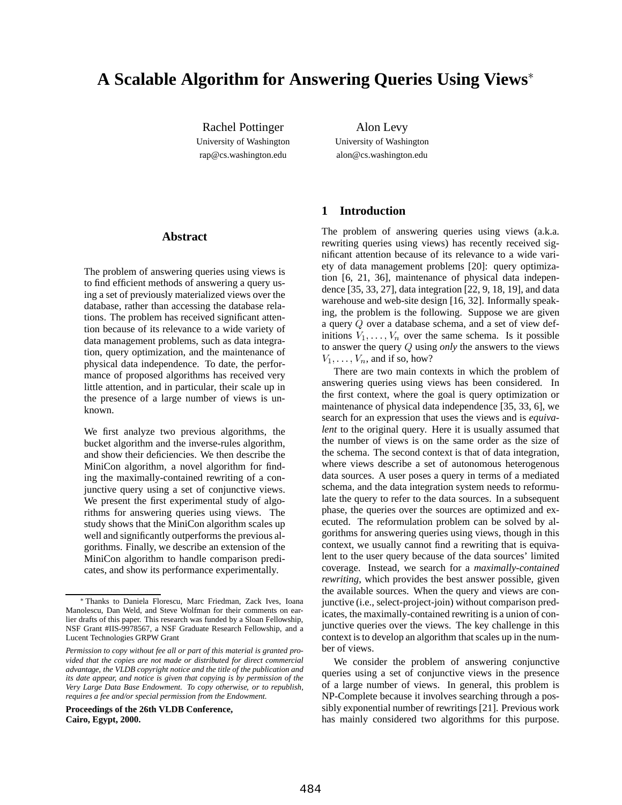# **A Scalable Algorithm for Answering Queries Using Views**

Rachel Pottinger University of Washington rap@cs.washington.edu

Alon Levy University of Washington alon@cs.washington.edu

### **Abstract**

The problem of answering queries using views is to find efficient methods of answering a query using a set of previously materialized views over the database, rather than accessing the database relations. The problem has received significant attention because of its relevance to a wide variety of data management problems, such as data integration, query optimization, and the maintenance of physical data independence. To date, the performance of proposed algorithms has received very little attention, and in particular, their scale up in the presence of a large number of views is unknown.

We first analyze two previous algorithms, the bucket algorithm and the inverse-rules algorithm, and show their deficiencies. We then describe the MiniCon algorithm, a novel algorithm for finding the maximally-contained rewriting of a conjunctive query using a set of conjunctive views. We present the first experimental study of algorithms for answering queries using views. The study shows that the MiniCon algorithm scales up well and significantly outperforms the previous algorithms. Finally, we describe an extension of the MiniCon algorithm to handle comparison predicates, and show its performance experimentally.

**Proceedings of the 26th VLDB Conference, Cairo, Egypt, 2000.**

## **1 Introduction**

The problem of answering queries using views (a.k.a. rewriting queries using views) has recently received significant attention because of its relevance to a wide variety of data management problems [20]: query optimization [6, 21, 36], maintenance of physical data independence [35, 33, 27], data integration [22, 9, 18, 19], and data warehouse and web-site design [16, 32]. Informally speaking, the problem is the following. Suppose we are given a query  $Q$  over a database schema, and a set of view definitions  $V_1, \ldots, V_n$  over the same schema. Is it possible to answer the query  $Q$  using *only* the answers to the views  $V_1, \ldots, V_n$ , and if so, how?

There are two main contexts in which the problem of answering queries using views has been considered. In the first context, where the goal is query optimization or maintenance of physical data independence [35, 33, 6], we search for an expression that uses the views and is *equivalent* to the original query. Here it is usually assumed that the number of views is on the same order as the size of the schema. The second context is that of data integration, where views describe a set of autonomous heterogenous data sources. A user poses a query in terms of a mediated schema, and the data integration system needs to reformulate the query to refer to the data sources. In a subsequent phase, the queries over the sources are optimized and executed. The reformulation problem can be solved by algorithms for answering queries using views, though in this context, we usually cannot find a rewriting that is equivalent to the user query because of the data sources' limited coverage. Instead, we search for a *maximally-contained rewriting*, which provides the best answer possible, given the available sources. When the query and views are conjunctive (i.e., select-project-join) without comparison predicates, the maximally-contained rewriting is a union of conjunctive queries over the views. The key challenge in this context is to develop an algorithm that scales up in the number of views.

We consider the problem of answering conjunctive queries using a set of conjunctive views in the presence of a large number of views. In general, this problem is NP-Complete because it involves searching through a possibly exponential number of rewritings [21]. Previous work has mainly considered two algorithms for this purpose.

Thanks to Daniela Florescu, Marc Friedman, Zack Ives, Ioana Manolescu, Dan Weld, and Steve Wolfman for their comments on earlier drafts of this paper. This research was funded by a Sloan Fellowship, NSF Grant #IIS-9978567, a NSF Graduate Research Fellowship, and a Lucent Technologies GRPW Grant

*Permission to copy without fee all or part of this material is granted provided that the copies are not made or distributed for direct commercial advantage, the VLDB copyright notice and the title of the publication and its date appear, and notice is given that copying is by permission of the Very Large Data Base Endowment. To copy otherwise, or to republish, requires a fee and/or special permission from the Endowment.*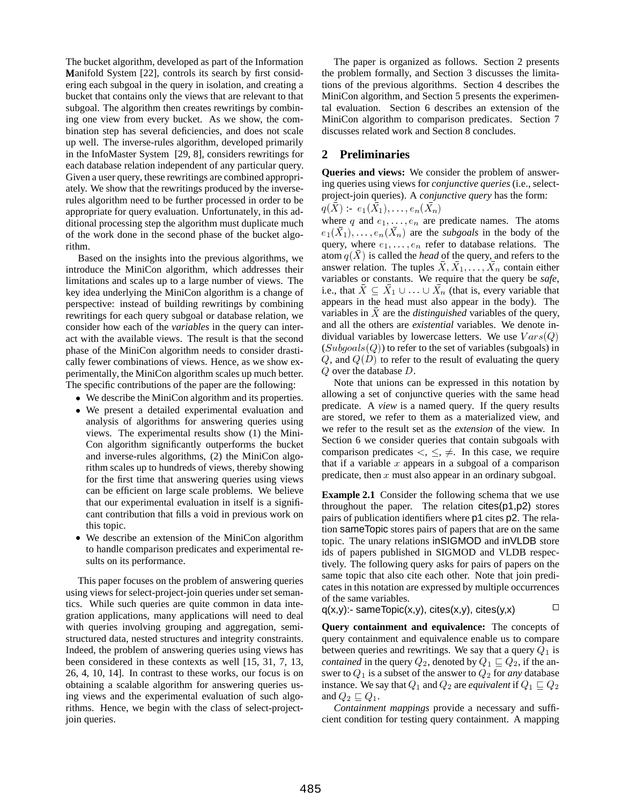The bucket algorithm, developed as part of the Information Manifold System [22], controls its search by first considering each subgoal in the query in isolation, and creating a bucket that contains only the views that are relevant to that subgoal. The algorithm then creates rewritings by combining one view from every bucket. As we show, the combination step has several deficiencies, and does not scale up well. The inverse-rules algorithm, developed primarily in the InfoMaster System [29, 8], considers rewritings for each database relation independent of any particular query. Given a user query, these rewritings are combined appropriately. We show that the rewritings produced by the inverserules algorithm need to be further processed in order to be appropriate for query evaluation. Unfortunately, in this additional processing step the algorithm must duplicate much of the work done in the second phase of the bucket algorithm.

Based on the insights into the previous algorithms, we introduce the MiniCon algorithm, which addresses their limitations and scales up to a large number of views. The key idea underlying the MiniCon algorithm is a change of perspective: instead of building rewritings by combining rewritings for each query subgoal or database relation, we consider how each of the *variables* in the query can interact with the available views. The result is that the second phase of the MiniCon algorithm needs to consider drastically fewer combinations of views. Hence, as we show experimentally, the MiniCon algorithm scales up much better. The specific contributions of the paper are the following:

- We describe the MiniCon algorithm and its properties.
- We present a detailed experimental evaluation and analysis of algorithms for answering queries using views. The experimental results show (1) the Mini-Con algorithm significantly outperforms the bucket and inverse-rules algorithms, (2) the MiniCon algorithm scales up to hundreds of views, thereby showing for the first time that answering queries using views can be efficient on large scale problems. We believe that our experimental evaluation in itself is a significant contribution that fills a void in previous work on this topic.
- We describe an extension of the MiniCon algorithm to handle comparison predicates and experimental results on its performance.

This paper focuses on the problem of answering queries using views for select-project-join queries under set semantics. While such queries are quite common in data integration applications, many applications will need to deal with queries involving grouping and aggregation, semistructured data, nested structures and integrity constraints. Indeed, the problem of answering queries using views has been considered in these contexts as well [15, 31, 7, 13, 26, 4, 10, 14]. In contrast to these works, our focus is on obtaining a scalable algorithm for answering queries using views and the experimental evaluation of such algorithms. Hence, we begin with the class of select-projectjoin queries.

The paper is organized as follows. Section 2 presents the problem formally, and Section 3 discusses the limitations of the previous algorithms. Section 4 describes the MiniCon algorithm, and Section 5 presents the experimental evaluation. Section 6 describes an extension of the MiniCon algorithm to comparison predicates. Section 7 discusses related work and Section 8 concludes.

## **2 Preliminaries**

**Queries and views:** We consider the problem of answering queries using views for *conjunctive queries* (i.e., selectproject-join queries). A *conjunctive query* has the form:

 $q(X) \text{ : } e_1(X_1), \ldots, e_n(X_n)$ where q and  $e_1, \ldots, e_n$  are predicate names. The atoms  $e_1(X_1), \ldots, e_n(X_n)$  are the *subgoals* in the body of the query, where  $e_1, \ldots, e_n$  refer to database relations. The atom  $q(X)$  is called the *head* of the query, and refers to the answer relation. The tuples  $X, X_1, \ldots, X_n$  contain either variables or constants. We require that the query be *safe*, i.e., that  $X \subseteq X_1 \cup \ldots \cup X_n$  (that is, every variable that appears in the head must also appear in the body). The variables in  $X$  are the *distinguished* variables of the query, and all the others are *existential* variables. We denote individual variables by lowercase letters. We use  $Vars(Q)$  $(Subgoals(Q))$  to refer to the set of variables (subgoals) in Q, and  $Q(D)$  to refer to the result of evaluating the query  $Q$  over the database  $D$ .

Note that unions can be expressed in this notation by allowing a set of conjunctive queries with the same head predicate. A *view* is a named query. If the query results are stored, we refer to them as a materialized view, and we refer to the result set as the *extension* of the view. In Section 6 we consider queries that contain subgoals with comparison predicates  $\lt, \leq$ ,  $\neq$ . In this case, we require that if a variable  $x$  appears in a subgoal of a comparison predicate, then  $x$  must also appear in an ordinary subgoal.

**Example 2.1** Consider the following schema that we use throughout the paper. The relation cites(p1,p2) stores pairs of publication identifiers where p1 cites p2. The relation sameTopic stores pairs of papers that are on the same topic. The unary relations inSIGMOD and inVLDB store ids of papers published in SIGMOD and VLDB respectively. The following query asks for pairs of papers on the same topic that also cite each other. Note that join predicates in this notation are expressed by multiple occurrences of the same variables.

 $q(x,y)$ :- sameTopic(x,y), cites(x,y), cites(y,x)  $\Box$ 

**Query containment and equivalence:** The concepts of query containment and equivalence enable us to compare between queries and rewritings. We say that a query  $Q_1$  is *contained* in the query  $Q_2$ , denoted by  $Q_1 \sqsubseteq Q_2$ , if the answer to  $Q_1$  is a subset of the answer to  $Q_2$  for *any* database instance. We say that  $Q_1$  and  $Q_2$  are *equivalent* if  $Q_1 \sqsubseteq Q_2$ and  $Q_2 \sqsubseteq Q_1$ .

*Containment mappings* provide a necessary and sufficient condition for testing query containment. A mapping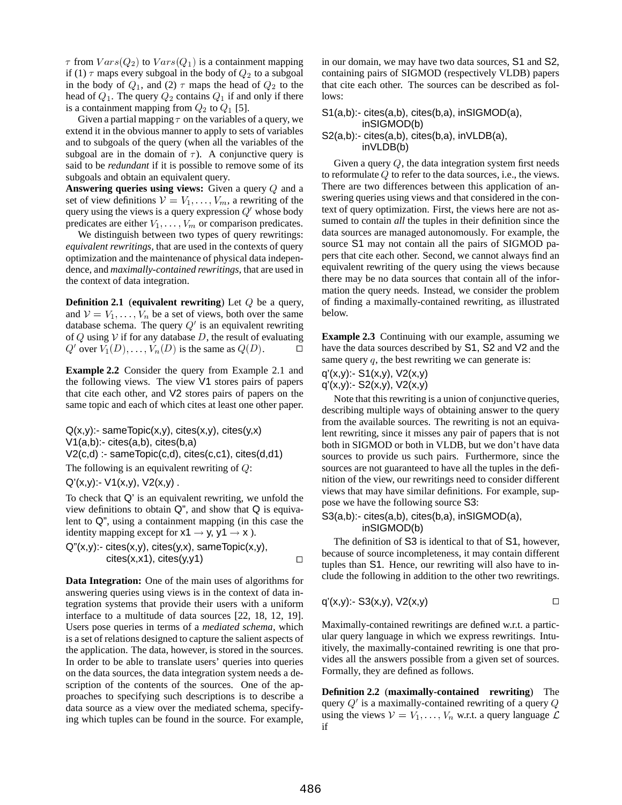$\tau$  from  $Vars(Q_2)$  to  $Vars(Q_1)$  is a containment mapping if (1)  $\tau$  maps every subgoal in the body of  $Q_2$  to a subgoal in the body of  $Q_1$ , and (2)  $\tau$  maps the head of  $Q_2$  to the head of  $Q_1$ . The query  $Q_2$  contains  $Q_1$  if and only if there is a containment mapping from  $Q_2$  to  $Q_1$  [5].

Given a partial mapping  $\tau$  on the variables of a query, we extend it in the obvious manner to apply to sets of variables and to subgoals of the query (when all the variables of the subgoal are in the domain of  $\tau$ ). A conjunctive query is said to be *redundant* if it is possible to remove some of its subgoals and obtain an equivalent query.

**Answering queries using views:** Given a query Q and a set of view definitions  $V = V_1, \ldots, V_m$ , a rewriting of the query using the views is a query expression  $Q'$  whose body predicates are either  $V_1, \ldots, V_m$  or comparison predicates.

We distinguish between two types of query rewritings: *equivalent rewritings,* that are used in the contexts of query optimization and the maintenance of physical data independence, and *maximally-contained rewritings*, that are used in the context of data integration.

**Definition 2.1** (**equivalent rewriting**) Let  $Q$  be a query, and  $V = V_1, \ldots, V_n$  be a set of views, both over the same database schema. The query  $Q'$  is an equivalent rewriting of  $Q$  using  $V$  if for any database  $D$ , the result of evaluating Q' over  $V_1(D), \ldots, V_n(D)$  is the same as  $Q(D)$ . □

**Example 2.2** Consider the query from Example 2.1 and the following views. The view V1 stores pairs of papers that cite each other, and V2 stores pairs of papers on the same topic and each of which cites at least one other paper.

 $Q(x,y)$ :- sameTopic $(x,y)$ , cites $(x,y)$ , cites $(y,x)$ V1(a,b):- cites(a,b), cites(b,a)  $V2(c,d)$  :- sameTopic(c,d), cites(c,c1), cites(d,d1) The following is an equivalent rewriting of  $Q$ :

 $Q'(x,y)$ :-  $V1(x,y)$ ,  $V2(x,y)$ .

To check that Q' is an equivalent rewriting, we unfold the view definitions to obtain  $Q$ ", and show that  $Q$  is equivalent to Q", using a containment mapping (in this case the identity mapping except for  $x1 \rightarrow y$ ,  $y1 \rightarrow x$ ).

$$
Q''(x,y): cites(x,y), cites(y,x), sameTopic(x,y),cites(x,x1), cites(y,y1)
$$

**Data Integration:** One of the main uses of algorithms for answering queries using views is in the context of data integration systems that provide their users with a uniform interface to a multitude of data sources [22, 18, 12, 19]. Users pose queries in terms of a *mediated schema*, which is a set of relations designed to capture the salient aspects of the application. The data, however, is stored in the sources. In order to be able to translate users' queries into queries on the data sources, the data integration system needs a description of the contents of the sources. One of the approaches to specifying such descriptions is to describe a data source as a view over the mediated schema, specifying which tuples can be found in the source. For example, in our domain, we may have two data sources, S1 and S2, containing pairs of SIGMOD (respectively VLDB) papers that cite each other. The sources can be described as follows:

S1(a,b):- cites(a,b), cites(b,a), inSIGMOD(a), inSIGMOD(b) S2(a,b):- cites(a,b), cites(b,a), inVLDB(a), inVLDB(b)

 There are two differences between this application of an-Given a query  $Q$ , the data integration system first needs to reformulate  $Q$  to refer to the data sources, i.e., the views. swering queries using views and that considered in the context of query optimization. First, the views here are not assumed to contain *all* the tuples in their definition since the data sources are managed autonomously. For example, the source S1 may not contain all the pairs of SIGMOD papers that cite each other. Second, we cannot always find an equivalent rewriting of the query using the views because there may be no data sources that contain all of the information the query needs. Instead, we consider the problem of finding a maximally-contained rewriting, as illustrated below.

same query  $q$ , the best rewriting we can generate is: **Example 2.3** Continuing with our example, assuming we have the data sources described by S1, S2 and V2 and the

 $q'(x,y)$ :- S1(x,y), V2(x,y) q'(x,y):- S2(x,y), V2(x,y)

Note that this rewriting is a union of conjunctive queries, describing multiple ways of obtaining answer to the query from the available sources. The rewriting is not an equivalent rewriting, since it misses any pair of papers that is not both in SIGMOD or both in VLDB, but we don't have data sources to provide us such pairs. Furthermore, since the sources are not guaranteed to have all the tuples in the definition of the view, our rewritings need to consider different views that may have similar definitions. For example, suppose we have the following source S3:

## S3(a,b):- cites(a,b), cites(b,a), inSIGMOD(a), inSIGMOD(b)

 $\Box$  tuples than S1. Hence, our rewriting will also have to in-The definition of S3 is identical to that of S1, however, because of source incompleteness, it may contain different clude the following in addition to the other two rewritings.

$$
q'(x,y):=S3(x,y), V2(x,y)
$$

Maximally-contained rewritings are defined w.r.t. a particular query language in which we express rewritings. Intuitively, the maximally-contained rewriting is one that provides all the answers possible from a given set of sources. Formally, they are defined as follows.

**Definition 2.2** (**maximally-contained rewriting**) The query  $Q'$  is a maximally-contained rewriting of a query using the views  $V = V_1, \dots, V_n$  w.r.t. a query language  $\mathcal{L}$ if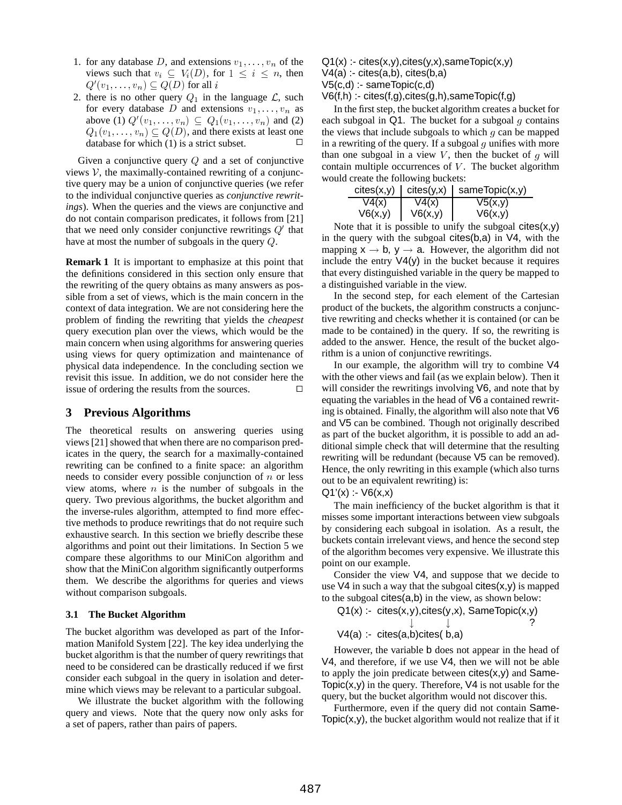- 1. for any database D, and extensions  $v_1, \ldots, v_n$  of the views such that  $v_i \subseteq V_i(D)$ , for  $1 \leq i \leq n$ , then  $Q'(v_1,\ldots,v_n)\subseteq Q(D)$  for all  $i$
- 2. there is no other query  $Q_1$  in the language  $\mathcal{L}$ , such for every database D and extensions  $v_1, \ldots, v_n$  as above (1)  $Q'(v_1, ..., v_n) \subseteq Q_1(v_1, ..., v_n)$  and (2)  $Q_1(v_1, \ldots, v_n) \subseteq Q(D)$ , and there exists at least one database for which  $(1)$  is a strict subset.

Given a conjunctive query  $Q$  and a set of conjunctive views  $V$ , the maximally-contained rewriting of a conjunctive query may be a union of conjunctive queries (we refer to the individual conjunctive queries as *conjunctive rewritings*). When the queries and the views are conjunctive and do not contain comparison predicates, it follows from [21] that we need only consider conjunctive rewritings  $Q'$  that have at most the number of subgoals in the query  $Q$ .

**Remark 1** It is important to emphasize at this point that the definitions considered in this section only ensure that the rewriting of the query obtains as many answers as possible from a set of views, which is the main concern in the context of data integration. We are not considering here the problem of finding the rewriting that yields the *cheapest* query execution plan over the views, which would be the main concern when using algorithms for answering queries using views for query optimization and maintenance of physical data independence. In the concluding section we revisit this issue. In addition, we do not consider here the issue of ordering the results from the sources. П

## **3 Previous Algorithms**

The theoretical results on answering queries using views[21] showed that when there are no comparison predicates in the query, the search for a maximally-contained rewriting can be confined to a finite space: an algorithm needs to consider every possible conjunction of  $n$  or less view atoms, where  $n$  is the number of subgoals in the query. Two previous algorithms, the bucket algorithm and the inverse-rules algorithm, attempted to find more effective methods to produce rewritings that do not require such exhaustive search. In this section we briefly describe these algorithms and point out their limitations. In Section 5 we compare these algorithms to our MiniCon algorithm and show that the MiniCon algorithm significantly outperforms them. We describe the algorithms for queries and views without comparison subgoals.

#### **3.1 The Bucket Algorithm**

The bucket algorithm was developed as part of the Information Manifold System [22]. The key idea underlying the bucket algorithm is that the number of query rewritings that need to be considered can be drastically reduced if we first consider each subgoal in the query in isolation and determine which views may be relevant to a particular subgoal.

We illustrate the bucket algorithm with the following query and views. Note that the query now only asks for a set of papers, rather than pairs of papers.

- $Q1(x)$  :- cites(x,y), cites(y,x), same Topic(x,y)
- $V4(a)$  :- cites $(a,b)$ , cites $(b,a)$
- V5(c,d) :- sameTopic(c,d)

V6(f,h) :- cites(f,g),cites(g,h),sameTopic(f,g)

In the first step, the bucket algorithm creates a bucket for each subgoal in Q1. The bucket for a subgoal  $q$  contains the views that include subgoals to which  $q$  can be mapped in a rewriting of the query. If a subgoal  $g$  unifies with more than one subgoal in a view  $V$ , then the bucket of  $q$  will contain multiple occurrences of  $V$ . The bucket algorithm would create the following buckets:

| cites(x, y) |         | $cites(y,x)$   sameTopic $(x,y)$ |
|-------------|---------|----------------------------------|
| V4(x)       | V4(x)   | V5(x,y)                          |
| V6(x,y)     | V6(x,y) | V6(x,y)                          |

 in the query with the subgoal cites(b,a) in V4, with the Note that it is possible to unify the subgoal  $cites(x,y)$ mapping  $x \rightarrow b$ ,  $y \rightarrow a$ . However, the algorithm did not include the entry  $V4(y)$  in the bucket because it requires that every distinguished variable in the query be mapped to a distinguished variable in the view.

In the second step, for each element of the Cartesian product of the buckets, the algorithm constructs a conjunctive rewriting and checks whether it is contained (or can be made to be contained) in the query. If so, the rewriting is added to the answer. Hence, the result of the bucket algorithm is a union of conjunctive rewritings.

equating the variables in the head of V6 a contained rewrit-In our example, the algorithm will try to combine V4 with the other views and fail (as we explain below). Then it will consider the rewritings involving  $\sqrt{6}$ , and note that by ing is obtained. Finally, the algorithm will also note that V6 and V5 can be combined. Though not originally described as part of the bucket algorithm, it is possible to add an additional simple check that will determine that the resulting rewriting will be redundant (because V5 can be removed). Hence, the only rewriting in this example (which also turns out to be an equivalent rewriting) is:

### $Q1'(x) - V6(x,x)$

The main inefficiency of the bucket algorithm is that it misses some important interactions between view subgoals by considering each subgoal in isolation. As a result, the buckets contain irrelevant views, and hence the second step of the algorithm becomes very expensive. We illustrate this point on our example.

Consider the view V4, and suppose that we decide to use  $V4$  in such a way that the subgoal cites $(x,y)$  is mapped to the subgoal cites(a,b) in the view, as shown below:

Q1(x) :- cites(x,y),cites(y,x), SameTopic(x,y)<br>?

$$
V4(a) : cites(a, b)cites(b, a)
$$

However, the variable b does not appear in the head of V4, and therefore, if we use V4, then we will not be able to apply the join predicate between cites(x,y) and Same-Topic $(x, y)$  in the query. Therefore,  $V4$  is not usable for the query, but the bucket algorithm would not discover this.

Furthermore, even if the query did not contain Same- $Topic(x, y)$ , the bucket algorithm would not realize that if it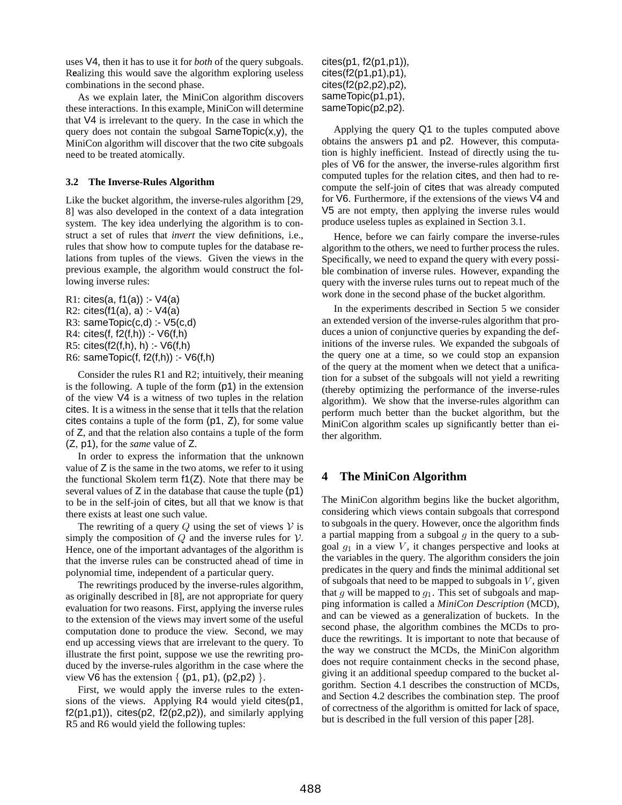uses V4, then it has to use it for *both* of the query subgoals. Realizing this would save the algorithm exploring useless combinations in the second phase.

As we explain later, the MiniCon algorithm discovers these interactions. In this example, MiniCon will determine that V4 is irrelevant to the query. In the case in which the query does not contain the subgoal  $SameTopic(x,y)$ , the MiniCon algorithm will discover that the two cite subgoals need to be treated atomically.

#### **3.2 The Inverse-Rules Algorithm**

Like the bucket algorithm, the inverse-rules algorithm [29, 8] was also developed in the context of a data integration system. The key idea underlying the algorithm is to construct a set of rules that *invert* the view definitions, i.e., rules that show how to compute tuples for the database relations from tuples of the views. Given the views in the previous example, the algorithm would construct the following inverse rules:

R1: cites(a, f1(a)) :- V4(a) R2: cites(f1(a), a) :-  $V4(a)$ R3: sameTopic(c,d) :- V5(c,d) R4: cites(f, f2(f,h)) :- V6(f,h) R5: cites(f2(f,h), h) :- V6(f,h) R6: sameTopic(f, f2(f,h)) :- V6(f,h)

Consider the rules R1 and R2; intuitively, their meaning is the following. A tuple of the form (p1) in the extension of the view V4 is a witness of two tuples in the relation cites. It is a witness in the sense that it tells that the relation cites contains a tuple of the form (p1, Z), for some value of Z, and that the relation also contains a tuple of the form (Z, p1), for the *same* value of Z.

In order to express the information that the unknown value of  $Z$  is the same in the two atoms, we refer to it using the functional Skolem term  $f1(Z)$ . Note that there may be several values of  $Z$  in the database that cause the tuple  $(p1)$ to be in the self-join of cites, but all that we know is that there exists at least one such value.

The rewriting of a query Q using the set of views V is  $\frac{1}{2}$  to subgo simply the composition of  $Q$  and the inverse rules for  $V$ . Hence, one of the important advantages of the algorithm is that the inverse rules can be constructed ahead of time in polynomial time, independent of a particular query.

The rewritings produced by the inverse-rules algorithm, as originally described in [8], are not appropriate for query evaluation for two reasons. First, applying the inverse rules to the extension of the views may invert some of the useful computation done to produce the view. Second, we may end up accessing views that are irrelevant to the query. To illustrate the first point, suppose we use the rewriting produced by the inverse-rules algorithm in the case where the view V6 has the extension  $\{ (p1, p1), (p2, p2) \}$ .

First, we would apply the inverse rules to the extensions of the views. Applying R4 would yield cites(p1,  $f2(p1,p1)$ , cites(p2,  $f2(p2,p2)$ ), and similarly applying R5 and R6 would yield the following tuples:

cites(p1, f2(p1,p1)),  $cites(f2(p1,p1),p1),$  $cites(f2(p2,p2),p2),$ sameTopic(p1,p1), sameTopic(p2,p2).

Applying the query Q1 to the tuples computed above obtains the answers p1 and p2. However, this computation is highly inefficient. Instead of directly using the tuples of V6 for the answer, the inverse-rules algorithm first computed tuples for the relation cites, and then had to recompute the self-join of cites that was already computed for V6. Furthermore, if the extensions of the views V4 and V5 are not empty, then applying the inverse rules would produce useless tuples as explained in Section 3.1.

Hence, before we can fairly compare the inverse-rules algorithm to the others, we need to further process the rules. Specifically, we need to expand the query with every possible combination of inverse rules. However, expanding the query with the inverse rules turns out to repeat much of the work done in the second phase of the bucket algorithm.

In the experiments described in Section 5 we consider an extended version of the inverse-rules algorithm that produces a union of conjunctive queries by expanding the definitions of the inverse rules. We expanded the subgoals of the query one at a time, so we could stop an expansion of the query at the moment when we detect that a unification for a subset of the subgoals will not yield a rewriting (thereby optimizing the performance of the inverse-rules algorithm). We show that the inverse-rules algorithm can perform much better than the bucket algorithm, but the MiniCon algorithm scales up significantly better than either algorithm.

# **4 The MiniCon Algorithm**

The MiniCon algorithm begins like the bucket algorithm, considering which views contain subgoals that correspond to subgoals in the query. However, once the algorithm finds a partial mapping from a subgoal  $g$  in the query to a subgoal  $g_1$  in a view V, it changes perspective and looks at the variables in the query. The algorithm considers the join predicates in the query and finds the minimal additional set of subgoals that need to be mapped to subgoals in  $V$ , given that q will be mapped to  $q_1$ . This set of subgoals and mapping information is called a *MiniCon Description* (MCD), and can be viewed as a generalization of buckets. In the second phase, the algorithm combines the MCDs to produce the rewritings. It is important to note that because of the way we construct the MCDs, the MiniCon algorithm does not require containment checks in the second phase, giving it an additional speedup compared to the bucket algorithm. Section 4.1 describes the construction of MCDs, and Section 4.2 describes the combination step. The proof of correctness of the algorithm is omitted for lack of space, but is described in the full version of this paper [28].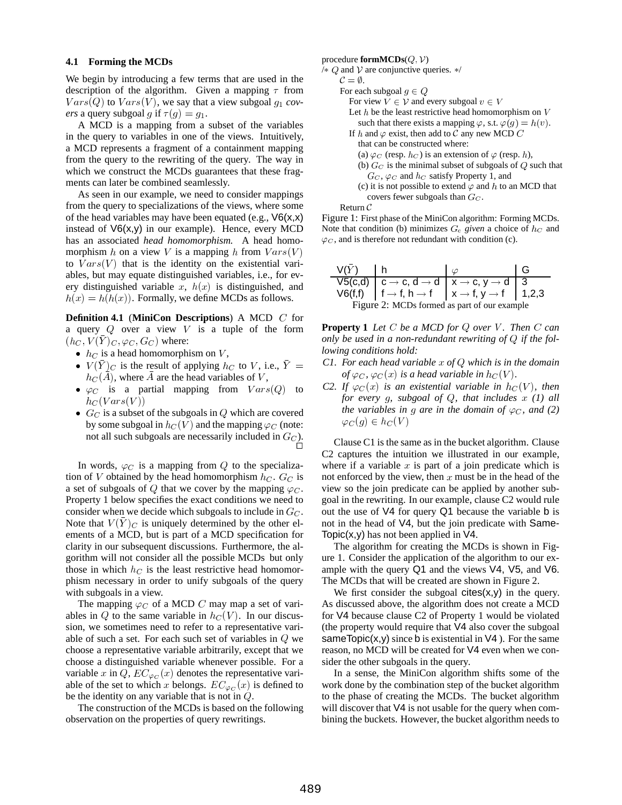#### **4.1 Forming the MCDs**

We begin by introducing a few terms that are used in the description of the algorithm. Given a mapping  $\tau$  from  $Vars(Q)$  to  $Vars(V)$ , we say that a view subgoal  $g_1 cov$ *ers* a query subgoal g if  $\tau(g) = g_1$ .

A MCD is a mapping from a subset of the variables in the query to variables in one of the views. Intuitively, a MCD represents a fragment of a containment mapping from the query to the rewriting of the query. The way in which we construct the MCDs guarantees that these fragments can later be combined seamlessly.

As seen in our example, we need to consider mappings from the query to specializations of the views, where some of the head variables may have been equated (e.g., V6(x,x) instead of  $\sqrt{6(x,y)}$  in our example). Hence, every MCD has an associated *head homomorphism.* A head homomorphism h on a view V is a mapping h from  $Vars(V)$ to  $Vars(V)$  that is the identity on the existential variables, but may equate distinguished variables, i.e., for every distinguished variable x,  $h(x)$  is distinguished, and  $h(x) = h(h(x))$ . Formally, we define MCDs as follows.

**Definition 4.1** (**MiniCon Descriptions**) A MCD <sup>Z</sup> for a query  $Q$  over a view  $V$  is a tuple of the form  $(h_C, V(Y)_C, \varphi_C, G_C)$  where:

- $h_C$  is a head homomorphism on  $V$ ,
- $V(Y)_C$  is the result of applying  $h_C$  to V, i.e.,  $Y =$  CI. For e  $h_C(A)$ , where A are the head variables of V,
- $\varphi_C$  is a partial mapping from  $Vars(Q)$  to  $h_C(Vars(V))$
- $G_C$  is a subset of the subgoals in Q which are covered by some subgoal in  $h_C(V)$  and the mapping  $\varphi_C$  (note: not all such subgoals are necessarily included in  $G_C$ ).

In words,  $\varphi_C$  is a mapping from  $Q$  to the specialization of V obtained by the head homomorphism  $h_C$ .  $G_C$  is a set of subgoals of Q that we cover by the mapping  $\varphi_C$ . Property 1 below specifies the exact conditions we need to consider when we decide which subgoals to include in  $G_C$ . Note that  $V(Y)<sub>C</sub>$  is uniquely determined by the other elements of a MCD, but is part of a MCD specification for clarity in our subsequent discussions. Furthermore, the algorithm will not consider all the possible MCDs but only those in which  $h_C$  is the least restrictive head homomorphism necessary in order to unify subgoals of the query with subgoals in a view.

The mapping  $\varphi_C$  of a MCD C may map a set of variables in Q to the same variable in  $h<sub>C</sub>(V)$ . In our discussion, we sometimes need to refer to a representative variable of such a set. For each such set of variables in  $Q$  we choose a representative variable arbitrarily, except that we choose a distinguished variable whenever possible. For a variable x in Q,  $EC_{\varphi_C}(x)$  denotes the representative variable of the set to which x belongs.  $EC_{\varphi_C}(x)$  is defined to be the identity on any variable that is not in  $Q$ .

The construction of the MCDs is based on the following observation on the properties of query rewritings.

procedure **formMCDs** $(Q, V)$ 

```
/\ast Q and V are conjunctive queries. \ast/
\mathcal{C}=\emptyset.
For each subgoal q \in \mathcal{Q}For view V \in \mathcal{V} and every subgoal v \in VLet h be the least restrictive head homomorphism on Vsuch that there exists a mapping \varphi, s.t. \varphi(g) = h(v).
   If h and \varphi exist, then add to C any new MCD C
      that can be constructed where:
      (a) \varphi_C (resp. h_C) is an extension of \varphi (resp. h),
      (b) G_C is the minimal subset of subgoals of Q such that
         G_C, \varphi_C and h_C satisfy Property 1, and
      (c) it is not possible to extend \varphi and h to an MCD that
        covers fewer subgoals than G_C.
```
Return C

Figure 1: First phase of the MiniCon algorithm: Forming MCDs. Note that condition (b) minimizes  $G_c$  given a choice of  $h_c$  and  $\varphi_C$ , and is therefore not redundant with condition (c).

| V(Y)                                         |                                                                                                 | $\varphi$ |  |  |  |  |  |
|----------------------------------------------|-------------------------------------------------------------------------------------------------|-----------|--|--|--|--|--|
|                                              | $V5(c,d)$ $c \rightarrow c, d \rightarrow d$   $x \rightarrow c, y \rightarrow d$   3           |           |  |  |  |  |  |
|                                              | $V6(f,f)$   f $\rightarrow$ f, h $\rightarrow$ f   x $\rightarrow$ f, y $\rightarrow$ f   1,2,3 |           |  |  |  |  |  |
| Figure 2: MCDs formed as part of our example |                                                                                                 |           |  |  |  |  |  |

**Property 1** Let C be a MCD for Q over V. Then C can *only* be used in a non-redundant rewriting of  $Q$  if the fol*lowing conditions hold:*

- $C1.$  *For each head variable*  $x$  *of*  $Q$  *which is in the domain of*  $\varphi_C$ ,  $\varphi_C(x)$  *is a head variable in*  $h_C(V)$ .
- *C2.* If  $\varphi_C(x)$  is an existential variable in  $h_C(V)$ , then *for every* g, *subgoal of*  $Q$ , *that includes*  $x(1)$  *all the variables in g are in the domain of*  $\varphi_C$ *, and* (2)  $\varphi_C(q) \in h_C(V)$

C2 captures the intuition we illustrated in our example, Clause C1 is the same as in the bucket algorithm. Clause where if a variable  $x$  is part of a join predicate which is not enforced by the view, then  $x$  must be in the head of the view so the join predicate can be applied by another subgoal in the rewriting. In our example, clause C2 would rule out the use of V4 for query Q1 because the variable b is not in the head of V4, but the join predicate with Same-Topic $(x, y)$  has not been applied in  $V4$ .

The algorithm for creating the MCDs is shown in Figure 1. Consider the application of the algorithm to our example with the query Q1 and the views V4, V5, and V6. The MCDs that will be created are shown in Figure 2.

 sameTopic(x,y) since b is existential in V4 ). For the same We first consider the subgoal cites $(x,y)$  in the query. As discussed above, the algorithm does not create a MCD for V4 because clause C2 of Property 1 would be violated (the property would require that V4 also cover the subgoal reason, no MCD will be created for V4 even when we consider the other subgoals in the query.

In a sense, the MiniCon algorithm shifts some of the work done by the combination step of the bucket algorithm to the phase of creating the MCDs. The bucket algorithm will discover that  $V4$  is not usable for the query when combining the buckets. However, the bucket algorithm needs to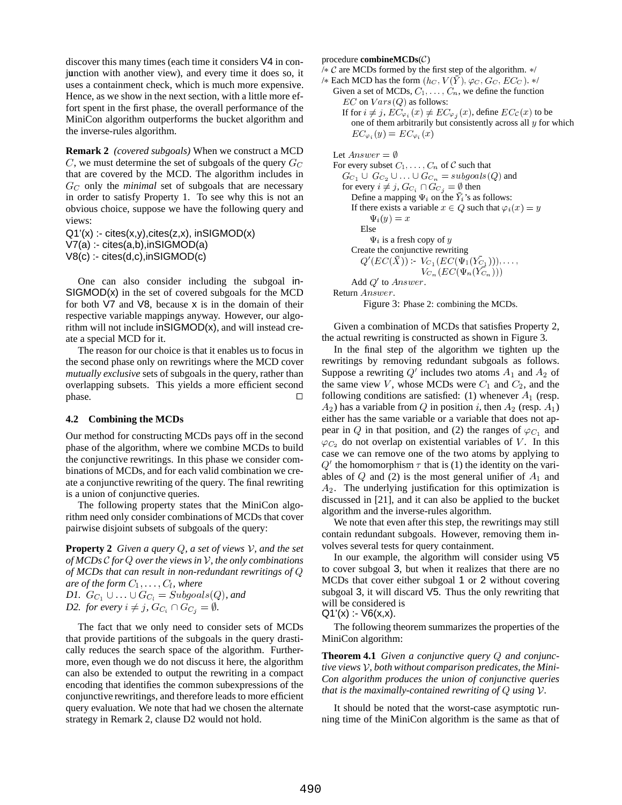discover this many times (each time it considers V4 in conjunction with another view), and every time it does so, it uses a containment check, which is much more expensive. Hence, as we show in the next section, with a little more effort spent in the first phase, the overall performance of the MiniCon algorithm outperforms the bucket algorithm and the inverse-rules algorithm.

**Remark 2** *(covered subgoals)* When we construct a MCD C, we must determine the set of subgoals of the query  $G_C$ that are covered by the MCD. The algorithm includes in  $G_C$  only the *minimal* set of subgoals that are necessary in order to satisfy Property 1. To see why this is not an obvious choice, suppose we have the following query and views:

 $Q1'(x)$  :- cites(x,y), cites(z,x), inSIGMOD(x) V7(a) :- cites(a,b),inSIGMOD(a) V8(c) :- cites(d,c),inSIGMOD(c)

One can also consider including the subgoal in-SIGMOD(x) in the set of covered subgoals for the MCD for both V7 and V8, because x is in the domain of their respective variable mappings anyway. However, our algorithm will not include inSIGMOD(x), and will instead create a special MCD for it.

The reason for our choice is that it enables us to focus in the second phase only on rewritings where the MCD cover *mutually exclusive* sets of subgoals in the query, rather than overlapping subsets. This yields a more efficient second  $\Box$ phase*.*

### **4.2 Combining the MCDs**

Our method for constructing MCDs pays off in the second phase of the algorithm, where we combine MCDs to build the conjunctive rewritings. In this phase we consider combinations of MCDs, and for each valid combination we create a conjunctive rewriting of the query. The final rewriting is a union of conjunctive queries.

The following property states that the MiniCon algorithm need only consider combinations of MCDs that cover pairwise disjoint subsets of subgoals of the query:

**Property 2** *Given a query*  $Q$ *, a set of views*  $V$ *, and the set of* MCDs  $\mathcal C$  *for*  $Q$  *over the views in*  $\mathcal V$ *, the only combinations of* MCDs that can result in non-redundant rewritings of Q.  $\emph{are of the form} \ C_1, \ldots, C_l, \emph{where}$  $DI.$   $G_{C_1} \cup \ldots \cup G_{C_l} = Subgoals(Q)$ , and *D2. for every*  $i \neq j$ ,  $G_{C_i} \cap G_{C_j} = \emptyset$ .

The fact that we only need to consider sets of MCDs that provide partitions of the subgoals in the query drastically reduces the search space of the algorithm. Furthermore, even though we do not discuss it here, the algorithm can also be extended to output the rewriting in a compact encoding that identifies the common subexpressions of the conjunctive rewritings, and therefore leads to more efficient query evaluation. We note that had we chosen the alternate strategy in Remark 2, clause D2 would not hold.

#### procedure **combineMCDs**(C)

/ $\angle k$  C are MCDs formed by the first step of the algorithm.  $\angle k$ /

/\* Each MCD has the form  $(h_C, V(Y), \varphi_C, G_C, EC_C)$ . \*/ Given a set of MCDs,  $C_1, \ldots, C_n$ , we define the function  $EC$  on  $Vars(Q)$  as follows: If for  $i \neq j$ ,  $EC_{\varphi_i}(x) \neq EC_{\varphi_j}(x)$ , define  $EC_{\mathcal{C}}(x)$  to be one of them arbitrarily but consistently across all  $y$  for which  $EC_{\varphi_i}(y) = EC_{\varphi_i}(x)$ 

Let  $Answer = \emptyset$ For every subset  $C_1, \ldots, C_n$  of  $\mathcal C$  such that  $G_{C_1} \cup G_{C_2} \cup \ldots \cup G_{C_n} = subgoals(Q)$  and for every  $i \neq j$ ,  $G_{C_i} \cap G_{C_j} = \emptyset$  then Define a mapping  $\Psi_i$  on the  $\overline{Y}_i$ 's as follows: If there exists a variable  $x \in Q$  such that  $\varphi_i(x) = y$  $\Psi_i(y) = x$ Else  $\Psi_i$  is a fresh copy of  $\psi$ Create the conjunctive rewriting  $Q'(EC(\bar{X})) : V_{C_1}(EC(\Psi_1(\bar{Y}_{C_1}))), \ldots,$  $V_{C_n}(EC(\Psi_n(Y_{C_n})))$ Add  $Q'$  to  $Answer$ . Return  $Answer$ . Figure 3: Phase 2: combining the MCDs.

Given a combination of MCDs that satisfies Property 2, the actual rewriting is constructed as shown in Figure 3.

 $A_2$ ) has a variable from Q in position i, then  $A_2$  (resp.  $A_1$ ) In the final step of the algorithm we tighten up the rewritings by removing redundant subgoals as follows. Suppose a rewriting  $Q'$  includes two atoms  $A_1$  and  $A_2$  of the same view V, whose MCDs were  $C_1$  and  $C_2$ , and the following conditions are satisfied: (1) whenever  $A_1$  (resp. either has the same variable or a variable that does not appear in Q in that position, and (2) the ranges of  $\varphi_{C_1}$  and  $\varphi_C$ , do not overlap on existential variables of V. In this case we can remove one of the two atoms by applying to  $Q'$  the homomorphism  $\tau$  that is (1) the identity on the variables of  $Q$  and (2) is the most general unifier of  $A_1$  and  $A_2$ . The underlying justification for this optimization is discussed in [21], and it can also be applied to the bucket algorithm and the inverse-rules algorithm.

We note that even after this step, the rewritings may still contain redundant subgoals. However, removing them involves several tests for query containment.

 to cover subgoal 3, but when it realizes that there are no In our example, the algorithm will consider using V5 MCDs that cover either subgoal 1 or 2 without covering subgoal 3, it will discard V5. Thus the only rewriting that will be considered is  $Q1'(x) - V6(x,x)$ .

The following theorem summarizes the properties of the MiniCon algorithm:

**Theorem 4.1** *Given a conjunctive query Q and conjunc* $t$ *ive* views  $V$ , both without comparison predicates, the Mini-*Con algorithm produces the union of conjunctive queries that is the maximally-contained rewriting of*  $Q$  *using*  $V$ *.* 

It should be noted that the worst-case asymptotic running time of the MiniCon algorithm is the same as that of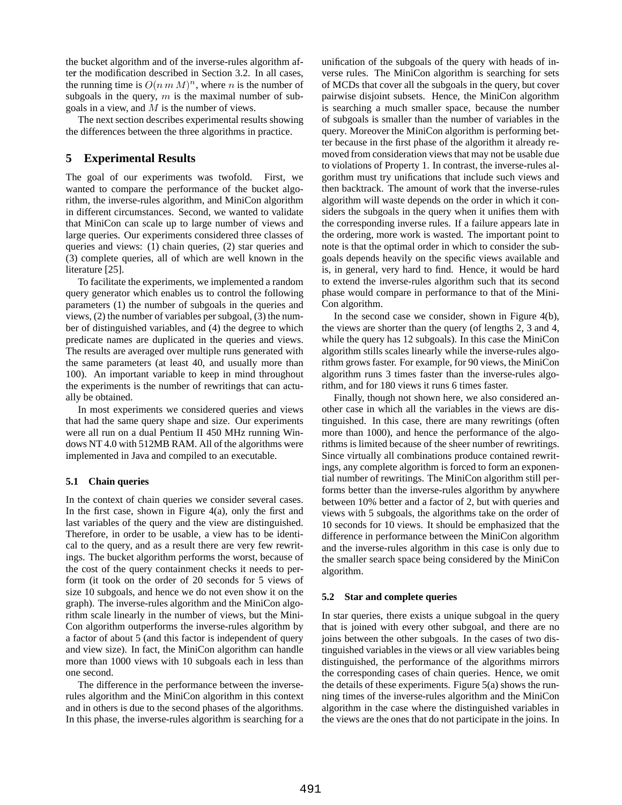the bucket algorithm and of the inverse-rules algorithm after the modification described in Section 3.2. In all cases, the running time is  $O(n m M)^n$ , where n is the number of subgoals in the query,  $m$  is the maximal number of subgoals in a view, and  $M$  is the number of views.

The next section describes experimental results showing the differences between the three algorithms in practice.

# **5 Experimental Results**

The goal of our experiments was twofold. First, we wanted to compare the performance of the bucket algorithm, the inverse-rules algorithm, and MiniCon algorithm in different circumstances. Second, we wanted to validate that MiniCon can scale up to large number of views and large queries. Our experiments considered three classes of queries and views: (1) chain queries, (2) star queries and (3) complete queries, all of which are well known in the literature [25].

To facilitate the experiments, we implemented a random query generator which enables us to control the following parameters (1) the number of subgoals in the queries and views, (2) the number of variables persubgoal, (3) the number of distinguished variables, and (4) the degree to which predicate names are duplicated in the queries and views. The results are averaged over multiple runs generated with the same parameters (at least 40, and usually more than 100). An important variable to keep in mind throughout the experiments is the number of rewritings that can actually be obtained.

In most experiments we considered queries and views that had the same query shape and size. Our experiments were all run on a dual Pentium II 450 MHz running Windows NT 4.0 with 512MB RAM. All of the algorithms were implemented in Java and compiled to an executable.

### **5.1 Chain queries**

In the context of chain queries we consider several cases. In the first case, shown in Figure  $4(a)$ , only the first and last variables of the query and the view are distinguished. Therefore, in order to be usable, a view has to be identical to the query, and as a result there are very few rewritings. The bucket algorithm performs the worst, because of the cost of the query containment checks it needs to perform (it took on the order of 20 seconds for 5 views of size 10 subgoals, and hence we do not even show it on the graph). The inverse-rules algorithm and the MiniCon algorithm scale linearly in the number of views, but the Mini-Con algorithm outperforms the inverse-rules algorithm by a factor of about 5 (and this factor is independent of query and view size). In fact, the MiniCon algorithm can handle more than 1000 views with 10 subgoals each in less than one second.

The difference in the performance between the inverserules algorithm and the MiniCon algorithm in this context and in others is due to the second phases of the algorithms. In this phase, the inverse-rules algorithm is searching for a unification of the subgoals of the query with heads of inverse rules. The MiniCon algorithm is searching for sets of MCDs that cover all the subgoals in the query, but cover pairwise disjoint subsets. Hence, the MiniCon algorithm is searching a much smaller space, because the number of subgoals is smaller than the number of variables in the query. Moreover the MiniCon algorithm is performing better because in the first phase of the algorithm it already removed from consideration viewsthat may not be usable due to violations of Property 1. In contrast, the inverse-rules algorithm must try unifications that include such views and then backtrack. The amount of work that the inverse-rules algorithm will waste depends on the order in which it considers the subgoals in the query when it unifies them with the corresponding inverse rules. If a failure appears late in the ordering, more work is wasted. The important point to note is that the optimal order in which to consider the subgoals depends heavily on the specific views available and is, in general, very hard to find. Hence, it would be hard to extend the inverse-rules algorithm such that its second phase would compare in performance to that of the Mini-Con algorithm.

In the second case we consider, shown in Figure 4(b), the views are shorter than the query (of lengths 2, 3 and 4, while the query has 12 subgoals). In this case the MiniCon algorithm stills scales linearly while the inverse-rules algorithm growsfaster. For example, for 90 views, the MiniCon algorithm runs 3 times faster than the inverse-rules algorithm, and for 180 views it runs 6 times faster.

Finally, though not shown here, we also considered another case in which all the variables in the views are distinguished. In this case, there are many rewritings (often more than 1000), and hence the performance of the algorithms is limited because of the sheer number of rewritings. Since virtually all combinations produce contained rewritings, any complete algorithm is forced to form an exponential number of rewritings. The MiniCon algorithm still performs better than the inverse-rules algorithm by anywhere between 10% better and a factor of 2, but with queries and views with 5 subgoals, the algorithms take on the order of 10 seconds for 10 views. It should be emphasized that the difference in performance between the MiniCon algorithm and the inverse-rules algorithm in this case is only due to the smaller search space being considered by the MiniCon algorithm.

#### **5.2 Star and complete queries**

In star queries, there exists a unique subgoal in the query that is joined with every other subgoal, and there are no joins between the other subgoals. In the cases of two distinguished variables in the views or all view variables being distinguished, the performance of the algorithms mirrors the corresponding cases of chain queries. Hence, we omit the details of these experiments. Figure 5(a) shows the running times of the inverse-rules algorithm and the MiniCon algorithm in the case where the distinguished variables in the views are the ones that do not participate in the joins. In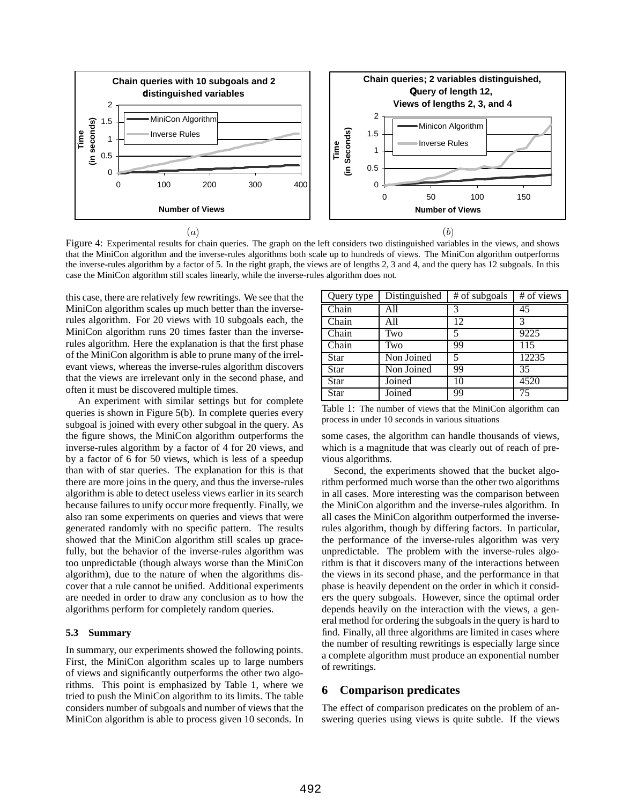

 $\left( \begin{array}{ccc} 0 & 1 \\ 0 & 1 \end{array} \right)$ "

 $\left( \mathcal{L} \right)$  $\sim$  1  $\sim$  0.000  $\sim$  0.000  $\sim$ 

Figure 4: Experimental results for chain queries. The graph on the left considers two distinguished variables in the views, and shows that the MiniCon algorithm and the inverse-rules algorithms both scale up to hundreds of views. The MiniCon algorithm outperforms the inverse-rules algorithm by a factor of 5. In the right graph, the views are of lengths 2, 3 and 4, and the query has 12 subgoals. In this case the MiniCon algorithm still scales linearly, while the inverse-rules algorithm does not.

this case, there are relatively few rewritings. We see that the MiniCon algorithm scales up much better than the inverserules algorithm. For 20 views with 10 subgoals each, the MiniCon algorithm runs 20 times faster than the inverserules algorithm. Here the explanation is that the first phase of the MiniCon algorithm is able to prune many of the irrelevant views, whereas the inverse-rules algorithm discovers that the views are irrelevant only in the second phase, and often it must be discovered multiple times.

An experiment with similar settings but for complete queries is shown in Figure 5(b). In complete queries every subgoal is joined with every other subgoal in the query. As the figure shows, the MiniCon algorithm outperforms the inverse-rules algorithm by a factor of 4 for 20 views, and by a factor of 6 for 50 views, which is less of a speedup than with of star queries. The explanation for this is that there are more joins in the query, and thus the inverse-rules algorithm is able to detect useless views earlier in its search because failures to unify occur more frequently. Finally, we also ran some experiments on queries and views that were generated randomly with no specific pattern. The results showed that the MiniCon algorithm still scales up gracefully, but the behavior of the inverse-rules algorithm was too unpredictable (though always worse than the MiniCon algorithm), due to the nature of when the algorithms discover that a rule cannot be unified. Additional experiments are needed in order to draw any conclusion as to how the algorithms perform for completely random queries.

#### **5.3 Summary**

In summary, our experiments showed the following points. First, the MiniCon algorithm scales up to large numbers of views and significantly outperforms the other two algorithms. This point is emphasized by Table 1, where we tried to push the MiniCon algorithm to its limits. The table considers number of subgoals and number of views that the MiniCon algorithm is able to process given 10 seconds. In

| Query type  | Distinguished | # of subgoals | # of views |
|-------------|---------------|---------------|------------|
| Chain       | All           | 3             | 45         |
| Chain       | All           | 12            | 3          |
| Chain       | Two           | 5             | 9225       |
| Chain       | Two           | 99            | 115        |
| <b>Star</b> | Non Joined    | 5             | 12235      |
| <b>Star</b> | Non Joined    | 99            | 35         |
| <b>Star</b> | Joined        | 10            | 4520       |
| Star        | Joined        | 99            | 75         |

Table 1: The number of views that the MiniCon algorithm can process in under 10 seconds in various situations

some cases, the algorithm can handle thousands of views, which is a magnitude that was clearly out of reach of previous algorithms.

Second, the experiments showed that the bucket algorithm performed much worse than the other two algorithms in all cases. More interesting was the comparison between the MiniCon algorithm and the inverse-rules algorithm. In all cases the MiniCon algorithm outperformed the inverserules algorithm, though by differing factors. In particular, the performance of the inverse-rules algorithm was very unpredictable. The problem with the inverse-rules algorithm is that it discovers many of the interactions between the views in its second phase, and the performance in that phase is heavily dependent on the order in which it considers the query subgoals. However, since the optimal order depends heavily on the interaction with the views, a general method for ordering the subgoals in the query is hard to find. Finally, all three algorithms are limited in cases where the number of resulting rewritings is especially large since a complete algorithm must produce an exponential number of rewritings.

# **6 Comparison predicates**

The effect of comparison predicates on the problem of answering queries using views is quite subtle. If the views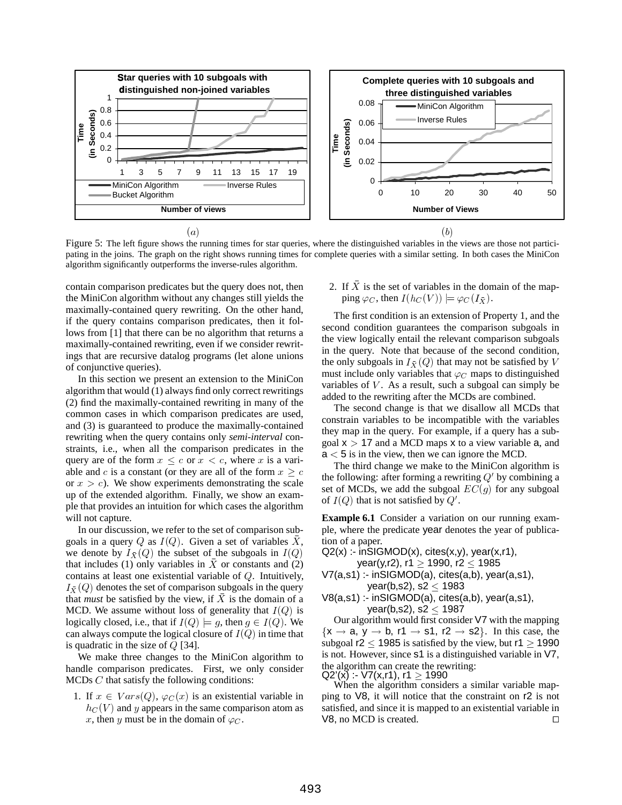

Figure 5: The left figure shows the running times for star queries, where the distinguished variables in the views are those not participating in the joins. The graph on the right shows running times for complete queries with a similar setting. In both cases the MiniCon algorithm significantly outperforms the inverse-rules algorithm.

contain comparison predicates but the query does not, then the MiniCon algorithm without any changes still yields the maximally-contained query rewriting. On the other hand, if the query contains comparison predicates, then it follows from [1] that there can be no algorithm that returns a maximally-contained rewriting, even if we consider rewritings that are recursive datalog programs (let alone unions of conjunctive queries).

In this section we present an extension to the MiniCon algorithm that would (1) always find only correct rewritings (2) find the maximally-contained rewriting in many of the common cases in which comparison predicates are used, and (3) is guaranteed to produce the maximally-contained rewriting when the query contains only *semi-interval* constraints, i.e., when all the comparison predicates in the query are of the form  $x \leq c$  or  $x < c$ , where x is a variable and c is a constant (or they are all of the form  $x > c$ or  $x > c$ ). We show experiments demonstrating the scale up of the extended algorithm. Finally, we show an example that provides an intuition for which cases the algorithm will not capture.

In our discussion, we refer to the set of comparison subgoals in a query Q as  $I(Q)$ . Given a set of variables X, tion we denote by  $I_{\bar{X}}(Q)$  the subset of the subgoals in  $I(Q)$  Q2 that includes (1) only variables in  $X$  or constants and (2) contains at least one existential variable of  $Q$ . Intuitively,  $I_{\bar{X}}(Q)$  denotes the set of comparison subgoals in the query that *must* be satisfied by the view, if  $X$  is the domain of a MCD. We assume without loss of generality that  $I(Q)$  is logically closed, i.e., that if  $I(Q) \models g$ , then  $g \in I(Q)$ . We can always compute the logical closure of  $I(Q)$  in time that is quadratic in the size of  $Q$  [34].

We make three changes to the MiniCon algorithm to handle comparison predicates. First, we only consider  $MCDs$   $C$  that satisfy the following conditions:

1. If  $x \in Vars(Q)$ ,  $\varphi_C(x)$  is an existential variable in  $h<sub>C</sub>(V)$  and y appears in the same comparison atom as x, then y must be in the domain of  $\varphi_C$ .

2. If  $X$  is the set of variables in the domain of the mapping  $\varphi_C$ , then  $I(h_C(V)) \models \varphi_C(I_{\bar{X}})$ .

The first condition is an extension of Property 1, and the second condition guarantees the comparison subgoals in the view logically entail the relevant comparison subgoals in the query. Note that because of the second condition, the only subgoals in  $I_{\bar{X}}(Q)$  that may not be satisfied by V must include only variables that  $\varphi_C$  maps to distinguished variables of  $V$ . As a result, such a subgoal can simply be added to the rewriting after the MCDs are combined.

The second change is that we disallow all MCDs that constrain variables to be incompatible with the variables they map in the query. For example, if a query has a subgoal  $x > 17$  and a MCD maps x to a view variable a, and  $a < 5$  is in the view, then we can ignore the MCD.

The third change we make to the MiniCon algorithm is the following: after forming a rewriting  $Q'$  by combining a set of MCDs, we add the subgoal  $EC(g)$  for any subgoal of  $I(Q)$  that is not satisfied by  $Q'$ .

**Example 6.1** Consider a variation on our running example, where the predicate year denotes the year of publication of a paper.

 $Q2(x)$  :- inSIGMOD $(x)$ , cites $(x,y)$ , year $(x, r1)$ , year(y,r2), r1  $\geq$  1990, r2  $\leq$  1985

V7(a,s1) :- inSIGMOD(a), cites(a,b), year(a,s1), year(b,s2), s2  $\leq$  1983

$$
V8(a,s1): in SIGMOD(a), cites(a,b), year(a,s1),
$$
  
year(b,s2), s2  $\leq$  1987

Our algorithm would first consider V7 with the mapping  $\{x \rightarrow a, y \rightarrow b, r1 \rightarrow s1, r2 \rightarrow s2\}$ . In this case, the subgoal  $r2 \le 1985$  is satisfied by the view, but r1  $\ge 1990$ is not. However, since s1 is a distinguished variable in V7, the algorithm can create the rewriting:

 $Q2'(x)$  :- V7(x,r1), r1  $\geq$  1990 When the algorithm considers a similar variable map-

ping to V8, it will notice that the constraint on r2 is not satisfied, and since it is mapped to an existential variable in V8, no MCD is created.  $\Box$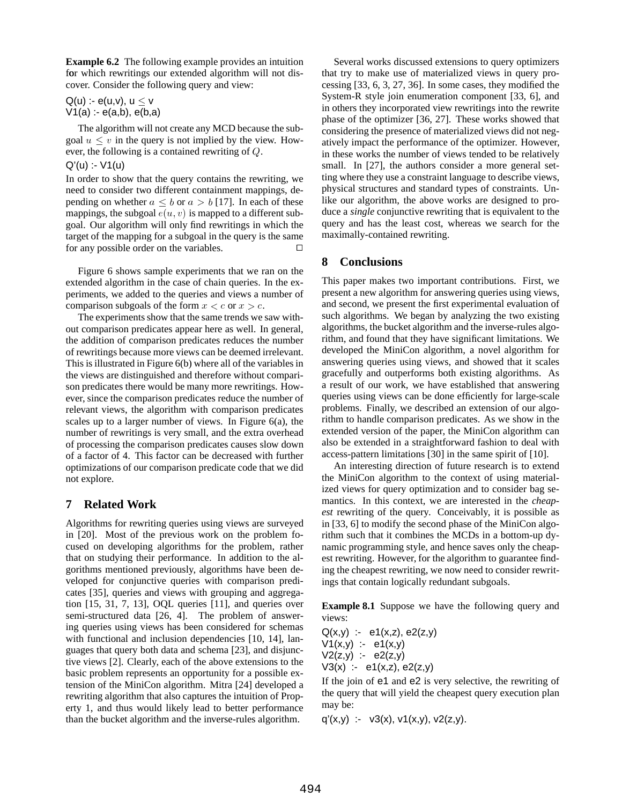**Example 6.2** The following example provides an intuition for which rewritings our extended algorithm will not discover. Consider the following query and view:

Q(u) :- e(u,v), u  $\leq$  v  $V1(a) - e(a,b), e(b,a)$ 

The algorithm will not create any MCD because the subgoal  $u \leq v$  in the query is not implied by the view. However, the following is a contained rewriting of  $Q$ .

Q'(u) :- V1(u)

In order to show that the query contains the rewriting, we need to consider two different containment mappings, depending on whether  $a \leq b$  or  $a > b$  [17]. In each of these mappings, the subgoal  $e(u, v)$  is mapped to a different subgoal. Our algorithm will only find rewritings in which the target of the mapping for a subgoal in the query is the same for any possible order on the variables. П

Figure 6 shows sample experiments that we ran on the extended algorithm in the case of chain queries. In the experiments, we added to the queries and views a number of comparison subgoals of the form  $x < c$  or  $x > c$ .

The experiments show that the same trends we saw without comparison predicates appear here as well. In general, the addition of comparison predicates reduces the number of rewritings because more views can be deemed irrelevant. This is illustrated in Figure  $6(b)$  where all of the variables in the views are distinguished and therefore without comparison predicates there would be many more rewritings. However, since the comparison predicates reduce the number of relevant views, the algorithm with comparison predicates scales up to a larger number of views. In Figure 6(a), the number of rewritings is very small, and the extra overhead of processing the comparison predicates causes slow down of a factor of 4. This factor can be decreased with further optimizations of our comparison predicate code that we did not explore.

# **7 Related Work**

Algorithms for rewriting queries using views are surveyed in [20]. Most of the previous work on the problem focused on developing algorithms for the problem, rather that on studying their performance. In addition to the algorithms mentioned previously, algorithms have been developed for conjunctive queries with comparison predicates [35], queries and views with grouping and aggregation [15, 31, 7, 13], OQL queries [11], and queries over semi-structured data [26, 4]. The problem of answering queries using views has been considered for schemas with functional and inclusion dependencies [10, 14], languages that query both data and schema [23], and disjunctive views [2]. Clearly, each of the above extensions to the basic problem represents an opportunity for a possible extension of the MiniCon algorithm. Mitra [24] developed a rewriting algorithm that also captures the intuition of Property 1, and thus would likely lead to better performance than the bucket algorithm and the inverse-rules algorithm.

Several works discussed extensions to query optimizers that try to make use of materialized views in query processing [33, 6, 3, 27, 36]. In some cases, they modified the System-R style join enumeration component [33, 6], and in others they incorporated view rewritings into the rewrite phase of the optimizer [36, 27]. These works showed that considering the presence of materialized views did not negatively impact the performance of the optimizer. However, in these works the number of views tended to be relatively small. In [27], the authors consider a more general setting where they use a constraint language to describe views, physical structures and standard types of constraints. Unlike our algorithm, the above works are designed to produce a *single* conjunctive rewriting that is equivalent to the query and has the least cost, whereas we search for the maximally-contained rewriting.

# **8 Conclusions**

This paper makes two important contributions. First, we present a new algorithm for answering queries using views, and second, we present the first experimental evaluation of such algorithms. We began by analyzing the two existing algorithms, the bucket algorithm and the inverse-rules algorithm, and found that they have significant limitations. We developed the MiniCon algorithm, a novel algorithm for answering queries using views, and showed that it scales gracefully and outperforms both existing algorithms. As a result of our work, we have established that answering queries using views can be done efficiently for large-scale problems. Finally, we described an extension of our algorithm to handle comparison predicates. As we show in the extended version of the paper, the MiniCon algorithm can also be extended in a straightforward fashion to deal with access-pattern limitations [30] in the same spirit of [10].

An interesting direction of future research is to extend the MiniCon algorithm to the context of using materialized views for query optimization and to consider bag semantics. In this context, we are interested in the *cheapest* rewriting of the query. Conceivably, it is possible as in [33, 6] to modify the second phase of the MiniCon algorithm such that it combines the MCDs in a bottom-up dynamic programming style, and hence saves only the cheapest rewriting. However, for the algorithm to guarantee finding the cheapest rewriting, we now need to consider rewritings that contain logically redundant subgoals.

**Example 8.1** Suppose we have the following query and views:

 $Q(x,y)$  :- e1(x,z), e2(z,y)  $V1(x,y)$  :- e1(x,y)  $V2(z,y)$  :-  $e2(z,y)$  $V3(x)$  :- e1(x,z), e2(z,y)

If the join of e1 and e2 is very selective, the rewriting of the query that will yield the cheapest query execution plan may be:

 $q'(x,y)$  :-  $v3(x)$ ,  $v1(x,y)$ ,  $v2(z,y)$ .